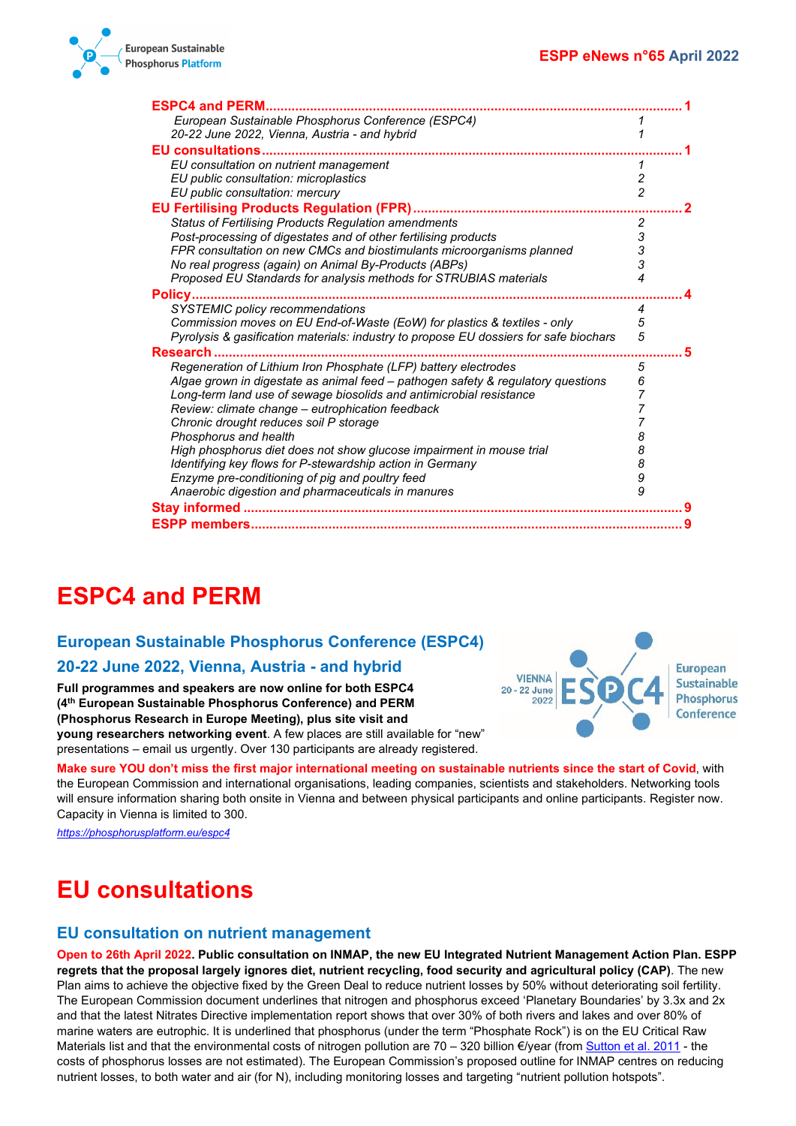

| <b>ESPC4 and PERM</b>                                                                                                                               |                                       |  |
|-----------------------------------------------------------------------------------------------------------------------------------------------------|---------------------------------------|--|
| European Sustainable Phosphorus Conference (ESPC4)                                                                                                  |                                       |  |
| 20-22 June 2022, Vienna, Austria - and hybrid                                                                                                       |                                       |  |
| <b>EU consultations.</b>                                                                                                                            |                                       |  |
| EU consultation on nutrient management                                                                                                              | 1                                     |  |
| EU public consultation: microplastics                                                                                                               | $\overline{\mathbf{c}}$               |  |
| EU public consultation: mercury                                                                                                                     | $\overline{2}$                        |  |
| <b>EU Fertilising Products Regulation (FPR).</b>                                                                                                    |                                       |  |
| <b>Status of Fertilising Products Regulation amendments</b>                                                                                         | $\overline{c}$                        |  |
| Post-processing of digestates and of other fertilising products                                                                                     |                                       |  |
| FPR consultation on new CMCs and biostimulants microorganisms planned                                                                               | $\begin{array}{c} 3 \\ 3 \end{array}$ |  |
| No real progress (again) on Animal By-Products (ABPs)                                                                                               |                                       |  |
| Proposed EU Standards for analysis methods for STRUBIAS materials                                                                                   | 4                                     |  |
| Policy                                                                                                                                              |                                       |  |
| SYSTEMIC policy recommendations                                                                                                                     | 4                                     |  |
| Commission moves on EU End-of-Waste (EoW) for plastics & textiles - only                                                                            | 5<br>5                                |  |
| Pyrolysis & gasification materials: industry to propose EU dossiers for safe biochars                                                               |                                       |  |
| <b>Research</b>                                                                                                                                     | 5                                     |  |
| Regeneration of Lithium Iron Phosphate (LFP) battery electrodes<br>Algae grown in digestate as animal feed - pathogen safety & regulatory questions | 6                                     |  |
| Long-term land use of sewage biosolids and antimicrobial resistance                                                                                 |                                       |  |
| Review: climate change - eutrophication feedback                                                                                                    |                                       |  |
| Chronic drought reduces soil P storage                                                                                                              |                                       |  |
| Phosphorus and health                                                                                                                               | 8                                     |  |
| High phosphorus diet does not show glucose impairment in mouse trial                                                                                | 8                                     |  |
| Identifying key flows for P-stewardship action in Germany                                                                                           | 8                                     |  |
| Enzyme pre-conditioning of pig and poultry feed                                                                                                     | 9                                     |  |
| Anaerobic digestion and pharmaceuticals in manures                                                                                                  | 9                                     |  |
| Stay informed                                                                                                                                       |                                       |  |
|                                                                                                                                                     |                                       |  |
|                                                                                                                                                     |                                       |  |

# <span id="page-0-0"></span>**ESPC4 and PERM**

## <span id="page-0-1"></span>**European Sustainable Phosphorus Conference (ESPC4)**

## <span id="page-0-2"></span>**20-22 June 2022, Vienna, Austria - and hybrid**

**Full programmes and speakers are now online for both ESPC4 (4th European Sustainable Phosphorus Conference) and PERM (Phosphorus Research in Europe Meeting), plus site visit and young researchers networking event**. A few places are still available for "new" presentations – email us urgently. Over 130 participants are already registered.

**Make sure YOU don't miss the first major international meeting on sustainable nutrients since the start of Covid**, with the European Commission and international organisations, leading companies, scientists and stakeholders. Networking tools will ensure information sharing both onsite in Vienna and between physical participants and online participants. Register now. Capacity in Vienna is limited to 300.

*<https://phosphorusplatform.eu/espc4>*

# <span id="page-0-3"></span>**EU consultations**

## <span id="page-0-4"></span>**EU consultation on nutrient management**

**Open to 26th April 2022. Public consultation on INMAP, the new EU Integrated Nutrient Management Action Plan. ESPP regrets that the proposal largely ignores diet, nutrient recycling, food security and agricultural policy (CAP)**. The new Plan aims to achieve the objective fixed by the Green Deal to reduce nutrient losses by 50% without deteriorating soil fertility. The European Commission document underlines that nitrogen and phosphorus exceed 'Planetary Boundaries' by 3.3x and 2x and that the latest Nitrates Directive implementation report shows that over 30% of both rivers and lakes and over 80% of marine waters are eutrophic. It is underlined that phosphorus (under the term "Phosphate Rock") is on the EU Critical Raw Materials list and that the environmental costs of nitrogen pollution are  $70 - 320$  billion €/year (from [Sutton et al. 2011](https://www.cambridge.org/core/books/abs/european-nitrogen-assessment/summary-for-policy-makers/8C71929358438A6F1BDBEADB38E44E67) - the costs of phosphorus losses are not estimated). The European Commission's proposed outline for INMAP centres on reducing nutrient losses, to both water and air (for N), including monitoring losses and targeting "nutrient pollution hotspots".

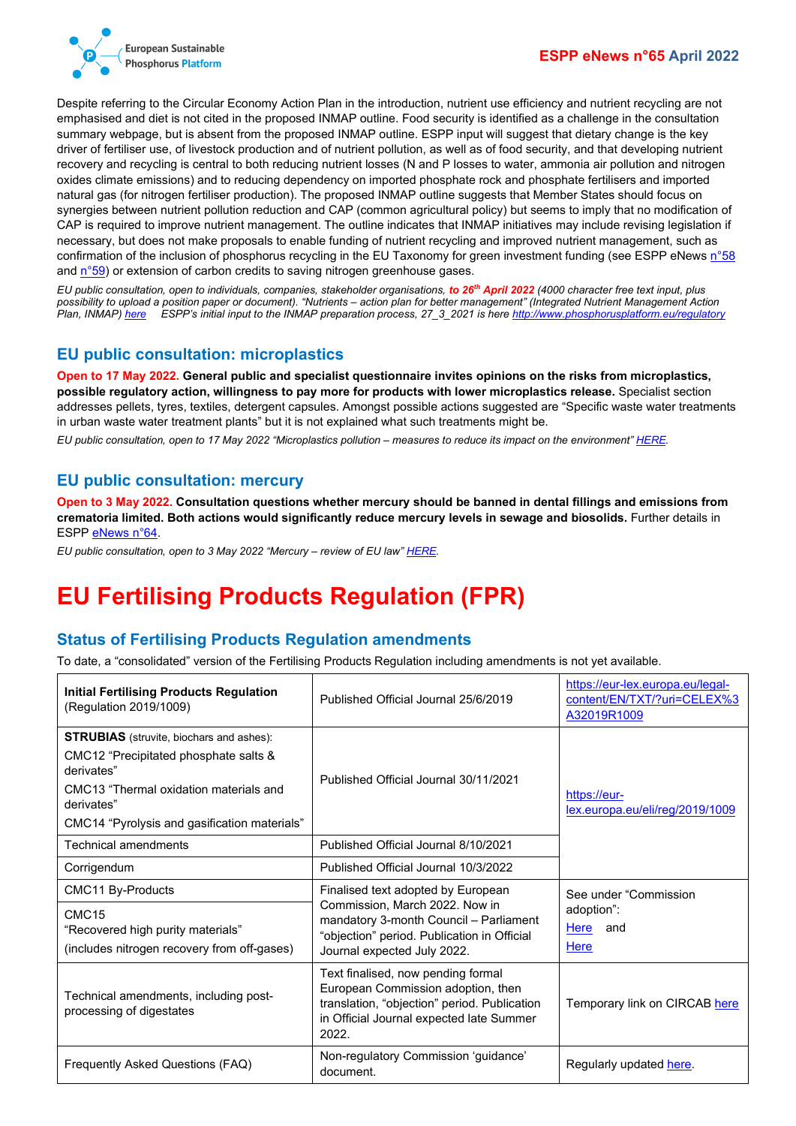

Despite referring to the Circular Economy Action Plan in the introduction, nutrient use efficiency and nutrient recycling are not emphasised and diet is not cited in the proposed INMAP outline. Food security is identified as a challenge in the consultation summary webpage, but is absent from the proposed INMAP outline. ESPP input will suggest that dietary change is the key driver of fertiliser use, of livestock production and of nutrient pollution, as well as of food security, and that developing nutrient recovery and recycling is central to both reducing nutrient losses (N and P losses to water, ammonia air pollution and nitrogen oxides climate emissions) and to reducing dependency on imported phosphate rock and phosphate fertilisers and imported natural gas (for nitrogen fertiliser production). The proposed INMAP outline suggests that Member States should focus on synergies between nutrient pollution reduction and CAP (common agricultural policy) but seems to imply that no modification of CAP is required to improve nutrient management. The outline indicates that INMAP initiatives may include revising legislation if necessary, but does not make proposals to enable funding of nutrient recycling and improved nutrient management, such as confirmation of the inclusion of phosphorus recycling in the EU Taxonomy for green investment funding (see ESPP eNews [n°58](http://www.phosphorusplatform.eu/eNews058) and [n°59\)](http://www.phosphorusplatform.eu/eNews059) or extension of carbon credits to saving nitrogen greenhouse gases.

*EU public consultation, open to individuals, companies, stakeholder organisations, to 26th April 2022 (4000 character free text input, plus possibility to upload a position paper or document). "Nutrients – action plan for better management" (Integrated Nutrient Management Action Plan, INMAP[\) here](https://ec.europa.eu/info/law/better-regulation/have-your-say/initiatives/12899-Nutrients-action-plan-for-better-management_en) ESPP's initial input to the INMAP preparation process, 27\_3\_2021 is here <http://www.phosphorusplatform.eu/regulatory>*

### <span id="page-1-0"></span>**EU public consultation: microplastics**

**Open to 17 May 2022. General public and specialist questionnaire invites opinions on the risks from microplastics, possible regulatory action, willingness to pay more for products with lower microplastics release.** Specialist section addresses pellets, tyres, textiles, detergent capsules. Amongst possible actions suggested are "Specific waste water treatments in urban waste water treatment plants" but it is not explained what such treatments might be.

*EU public consultation, open to 17 May 2022 "Microplastics pollution – measures to reduce its impact on the environment[" HERE.](https://ec.europa.eu/info/law/better-regulation/have-your-say/initiatives/12823-Microplastics-pollution-measures-to-reduce-its-impact-on-the-environment_en)*

### <span id="page-1-1"></span>**EU public consultation: mercury**

**Open to 3 May 2022. Consultation questions whether mercury should be banned in dental fillings and emissions from crematoria limited. Both actions would significantly reduce mercury levels in sewage and biosolids.** Further details in ESPP [eNews n°64.](http://www.phosphorusplatform.eu/eNews064)

*EU public consultation, open to 3 May 2022 "Mercury – review of EU law" [HERE.](https://noharm-europe.org/sites/default/files/documents-files/5740/2018-12_Moving_towards_a_phase-out_of_dental_amalgam_in_Europe_WEB.pdfhttps:/ec.europa.eu/info/law/better-regulation/have-your-say/initiatives/12924-Mercury-review-of-EU-law/public-consultation_en)*

# <span id="page-1-2"></span>**EU Fertilising Products Regulation (FPR)**

## <span id="page-1-3"></span>**Status of Fertilising Products Regulation amendments**

To date, a "consolidated" version of the Fertilising Products Regulation including amendments is not yet available.

| <b>Initial Fertilising Products Regulation</b><br>(Regulation 2019/1009)                                                                                                                                       | Published Official Journal 25/6/2019                                                                                                                                                         | https://eur-lex.europa.eu/legal-<br>content/EN/TXT/?uri=CELEX%3<br>A32019R1009 |  |
|----------------------------------------------------------------------------------------------------------------------------------------------------------------------------------------------------------------|----------------------------------------------------------------------------------------------------------------------------------------------------------------------------------------------|--------------------------------------------------------------------------------|--|
| <b>STRUBIAS</b> (struvite, biochars and ashes):<br>CMC12 "Precipitated phosphate salts &<br>derivates"<br>CMC13 "Thermal oxidation materials and<br>derivates"<br>CMC14 "Pyrolysis and gasification materials" | Published Official Journal 30/11/2021                                                                                                                                                        | https://eur-<br>lex.europa.eu/eli/reg/2019/1009                                |  |
| <b>Technical amendments</b>                                                                                                                                                                                    | Published Official Journal 8/10/2021                                                                                                                                                         |                                                                                |  |
| Corrigendum                                                                                                                                                                                                    | Published Official Journal 10/3/2022                                                                                                                                                         |                                                                                |  |
| CMC11 By-Products<br>CMC <sub>15</sub><br>"Recovered high purity materials"<br>(includes nitrogen recovery from off-gases)                                                                                     | Finalised text adopted by European<br>Commission, March 2022. Now in<br>mandatory 3-month Council - Parliament<br>"objection" period. Publication in Official<br>Journal expected July 2022. | See under "Commission"<br>adoption":<br>Here<br>and<br>Here                    |  |
| Technical amendments, including post-<br>processing of digestates                                                                                                                                              | Text finalised, now pending formal<br>European Commission adoption, then<br>translation, "objection" period. Publication<br>in Official Journal expected late Summer<br>2022.                | Temporary link on CIRCAB here                                                  |  |
| Frequently Asked Questions (FAQ)                                                                                                                                                                               | Non-regulatory Commission 'guidance'<br>document.                                                                                                                                            | Regularly updated here.                                                        |  |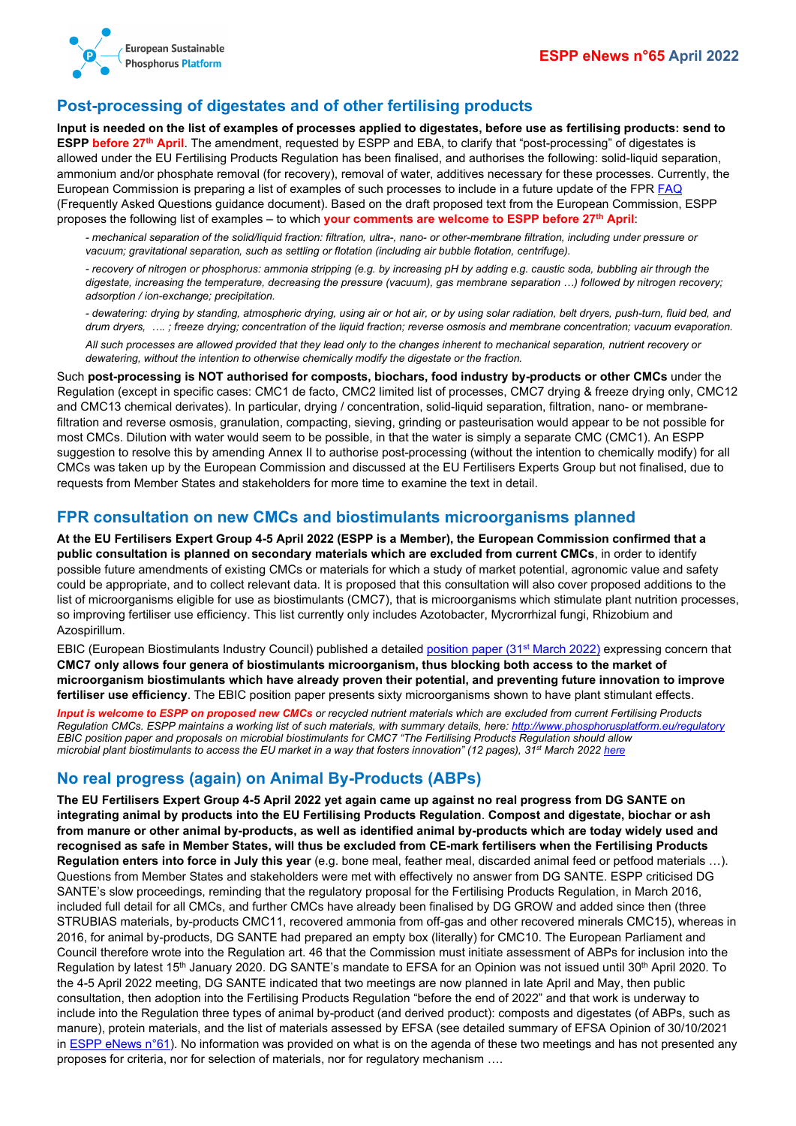

### <span id="page-2-0"></span>**Post-processing of digestates and of other fertilising products**

**Input is needed on the list of examples of processes applied to digestates, before use as fertilising products: send to ESPP before 27<sup>th</sup> April**. The amendment, requested by ESPP and EBA, to clarify that "post-processing" of digestates is allowed under the EU Fertilising Products Regulation has been finalised, and authorises the following: solid-liquid separation, ammonium and/or phosphate removal (for recovery), removal of water, additives necessary for these processes. Currently, the European Commission is preparing a list of examples of such processes to include in a future update of the FPR [FAQ](https://ec.europa.eu/docsroom/documents/48214) (Frequently Asked Questions guidance document). Based on the draft proposed text from the European Commission, ESPP proposes the following list of examples – to which **your comments are welcome to ESPP before 27th April**:

*- mechanical separation of the solid/liquid fraction: filtration, ultra-, nano- or other-membrane filtration, including under pressure or vacuum; gravitational separation, such as settling or flotation (including air bubble flotation, centrifuge).*

*- recovery of nitrogen or phosphorus: ammonia stripping (e.g. by increasing pH by adding e.g. caustic soda, bubbling air through the digestate, increasing the temperature, decreasing the pressure (vacuum), gas membrane separation …) followed by nitrogen recovery; adsorption / ion-exchange; precipitation.*

*- dewatering: drying by standing, atmospheric drying, using air or hot air, or by using solar radiation, belt dryers, push-turn, fluid bed, and drum dryers, …. ; freeze drying; concentration of the liquid fraction; reverse osmosis and membrane concentration; vacuum evaporation.*

*All such processes are allowed provided that they lead only to the changes inherent to mechanical separation, nutrient recovery or dewatering, without the intention to otherwise chemically modify the digestate or the fraction.*

Such **post-processing is NOT authorised for composts, biochars, food industry by-products or other CMCs** under the Regulation (except in specific cases: CMC1 de facto, CMC2 limited list of processes, CMC7 drying & freeze drying only, CMC12 and CMC13 chemical derivates). In particular, drying / concentration, solid-liquid separation, filtration, nano- or membranefiltration and reverse osmosis, granulation, compacting, sieving, grinding or pasteurisation would appear to be not possible for most CMCs. Dilution with water would seem to be possible, in that the water is simply a separate CMC (CMC1). An ESPP suggestion to resolve this by amending Annex II to authorise post-processing (without the intention to chemically modify) for all CMCs was taken up by the European Commission and discussed at the EU Fertilisers Experts Group but not finalised, due to requests from Member States and stakeholders for more time to examine the text in detail.

#### <span id="page-2-1"></span>**FPR consultation on new CMCs and biostimulants microorganisms planned**

**At the EU Fertilisers Expert Group 4-5 April 2022 (ESPP is a Member), the European Commission confirmed that a public consultation is planned on secondary materials which are excluded from current CMCs**, in order to identify possible future amendments of existing CMCs or materials for which a study of market potential, agronomic value and safety could be appropriate, and to collect relevant data. It is proposed that this consultation will also cover proposed additions to the list of microorganisms eligible for use as biostimulants (CMC7), that is microorganisms which stimulate plant nutrition processes, so improving fertiliser use efficiency. This list currently only includes Azotobacter, Mycrorrhizal fungi, Rhizobium and Azospirillum.

EBIC (European Biostimulants Industry Council) published a detailed [position paper \(31st](https://circabc.europa.eu/ui/group/36ec94c7-575b-44dc-a6e9-4ace02907f2f/library/68038b50-eb29-4f94-af0e-5ae2524aefe0/details) March 2022) expressing concern that **CMC7 only allows four genera of biostimulants microorganism, thus blocking both access to the market of microorganism biostimulants which have already proven their potential, and preventing future innovation to improve fertiliser use efficiency**. The EBIC position paper presents sixty microorganisms shown to have plant stimulant effects.

*Input is welcome to ESPP on proposed new CMCs or recycled nutrient materials which are excluded from current Fertilising Products Regulation CMCs. ESPP maintains a working list of such materials, with summary details, here[: http://www.phosphorusplatform.eu/regulatory](http://www.phosphorusplatform.eu/regulatory) EBIC position paper and proposals on microbial biostimulants for CMC7 "The Fertilising Products Regulation should allow microbial plant biostimulants to access the EU market in a way that fosters innovation" (12 pages), 31st March 202[2 here](https://biostimulants.eu/issue/the-eu-fertilising-products-regulation-should-allow-microbial-plant-biostimulants-to-access-the-eu-market-in-a-way-that-fosters-innovation/)*

## <span id="page-2-2"></span>**No real progress (again) on Animal By-Products (ABPs)**

**The EU Fertilisers Expert Group 4-5 April 2022 yet again came up against no real progress from DG SANTE on integrating animal by products into the EU Fertilising Products Regulation**. **Compost and digestate, biochar or ash from manure or other animal by-products, as well as identified animal by-products which are today widely used and recognised as safe in Member States, will thus be excluded from CE-mark fertilisers when the Fertilising Products Regulation enters into force in July this year** (e.g. bone meal, feather meal, discarded animal feed or petfood materials …). Questions from Member States and stakeholders were met with effectively no answer from DG SANTE. ESPP criticised DG SANTE's slow proceedings, reminding that the regulatory proposal for the Fertilising Products Regulation, in March 2016, included full detail for all CMCs, and further CMCs have already been finalised by DG GROW and added since then (three STRUBIAS materials, by-products CMC11, recovered ammonia from off-gas and other recovered minerals CMC15), whereas in 2016, for animal by-products, DG SANTE had prepared an empty box (literally) for CMC10. The European Parliament and Council therefore wrote into the Regulation art. 46 that the Commission must initiate assessment of ABPs for inclusion into the Regulation by latest 15<sup>th</sup> January 2020. DG SANTE's mandate to EFSA for an Opinion was not issued until 30<sup>th</sup> April 2020. To the 4-5 April 2022 meeting, DG SANTE indicated that two meetings are now planned in late April and May, then public consultation, then adoption into the Fertilising Products Regulation "before the end of 2022" and that work is underway to include into the Regulation three types of animal by-product (and derived product): composts and digestates (of ABPs, such as manure), protein materials, and the list of materials assessed by EFSA (see detailed summary of EFSA Opinion of 30/10/2021 in [ESPP eNews n°61\)](http://www.phosphorusplatform.eu/eNews061). No information was provided on what is on the agenda of these two meetings and has not presented any proposes for criteria, nor for selection of materials, nor for regulatory mechanism ….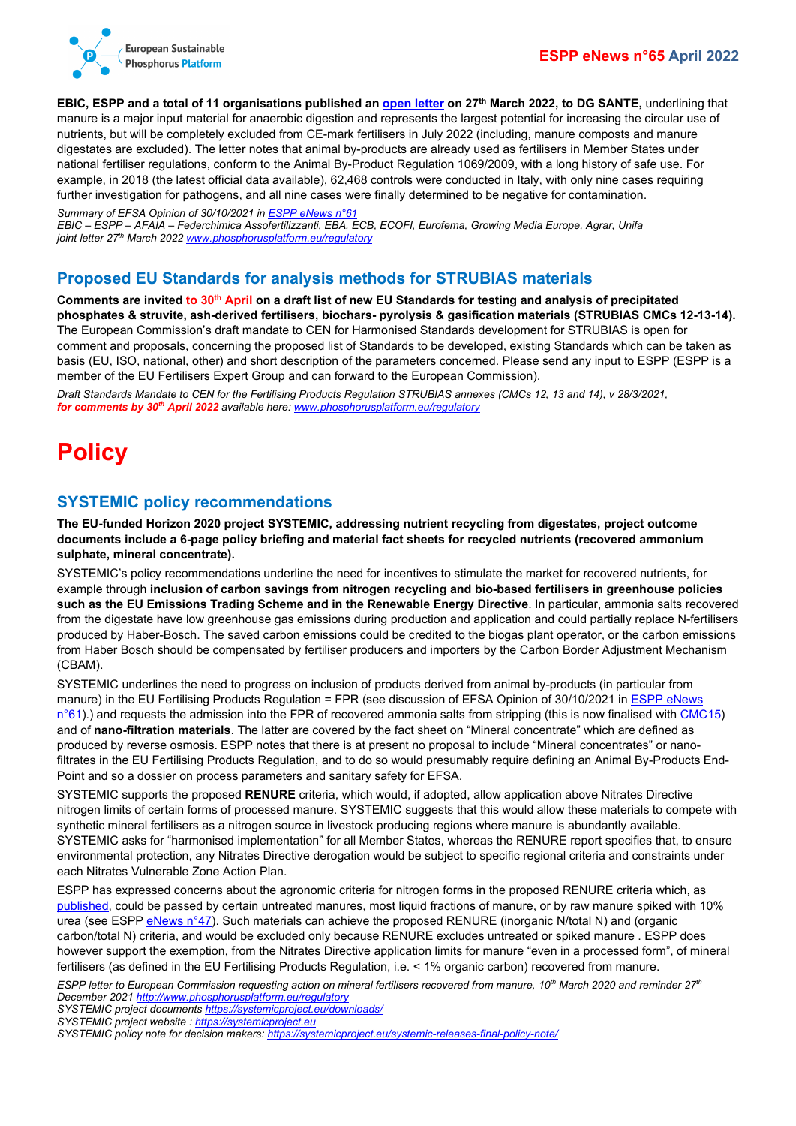

**EBIC, ESPP and a total of 11 organisations published an [open letter](http://www.phosphorusplatform.eu/regulatory) on 27th March 2022, to DG SANTE,** underlining that manure is a major input material for anaerobic digestion and represents the largest potential for increasing the circular use of nutrients, but will be completely excluded from CE-mark fertilisers in July 2022 (including, manure composts and manure digestates are excluded). The letter notes that animal by-products are already used as fertilisers in Member States under national fertiliser regulations, conform to the Animal By-Product Regulation 1069/2009, with a long history of safe use. For example, in 2018 (the latest official data available), 62,468 controls were conducted in Italy, with only nine cases requiring further investigation for pathogens, and all nine cases were finally determined to be negative for contamination.

*Summary of EFSA Opinion of 30/10/2021 i[n ESPP eNews n°61](http://www.phosphorusplatform.eu/eNews061) EBIC – ESPP – AFAIA – Federchimica Assofertilizzanti, EBA, ECB, ECOFI, Eurofema, Growing Media Europe, Agrar, Unifa joint letter 27th March 202[2 www.phosphorusplatform.eu/regulatory](http://www.phosphorusplatform.eu/regulatory)*

### <span id="page-3-0"></span>**Proposed EU Standards for analysis methods for STRUBIAS materials**

**Comments are invited to 30th April on a draft list of new EU Standards for testing and analysis of precipitated phosphates & struvite, ash-derived fertilisers, biochars- pyrolysis & gasification materials (STRUBIAS CMCs 12-13-14).** The European Commission's draft mandate to CEN for Harmonised Standards development for STRUBIAS is open for comment and proposals, concerning the proposed list of Standards to be developed, existing Standards which can be taken as basis (EU, ISO, national, other) and short description of the parameters concerned. Please send any input to ESPP (ESPP is a member of the EU Fertilisers Expert Group and can forward to the European Commission).

*Draft Standards Mandate to CEN for the Fertilising Products Regulation STRUBIAS annexes (CMCs 12, 13 and 14), v 28/3/2021, for comments by 30th April 2022 available here: [www.phosphorusplatform.eu/regulatory](http://www.phosphorusplatform.eu/regulatory)*

# <span id="page-3-1"></span>**Policy**

### <span id="page-3-2"></span>**SYSTEMIC policy recommendations**

**The EU-funded Horizon 2020 project SYSTEMIC, addressing nutrient recycling from digestates, project outcome documents include a 6-page policy briefing and material fact sheets for recycled nutrients (recovered ammonium sulphate, mineral concentrate).**

SYSTEMIC's policy recommendations underline the need for incentives to stimulate the market for recovered nutrients, for example through **inclusion of carbon savings from nitrogen recycling and bio-based fertilisers in greenhouse policies such as the EU Emissions Trading Scheme and in the Renewable Energy Directive**. In particular, ammonia salts recovered from the digestate have low greenhouse gas emissions during production and application and could partially replace N-fertilisers produced by Haber-Bosch. The saved carbon emissions could be credited to the biogas plant operator, or the carbon emissions from Haber Bosch should be compensated by fertiliser producers and importers by the Carbon Border Adjustment Mechanism (CBAM).

SYSTEMIC underlines the need to progress on inclusion of products derived from animal by-products (in particular from manure) in the EU Fertilising Products Regulation = FPR (see discussion of EFSA Opinion of 30/10/2021 in ESPP eNews  $n°61$ ).) and requests the admission into the FPR of recovered ammonia salts from stripping (this is now finalised with [CMC15\)](https://ec.europa.eu/info/law/better-regulation/have-your-say/initiatives/13113-Fertilisers-high-purity-materials-in-EU-fertilising-products_en) and of **nano-filtration materials**. The latter are covered by the fact sheet on "Mineral concentrate" which are defined as produced by reverse osmosis. ESPP notes that there is at present no proposal to include "Mineral concentrates" or nanofiltrates in the EU Fertilising Products Regulation, and to do so would presumably require defining an Animal By-Products End-Point and so a dossier on process parameters and sanitary safety for EFSA.

SYSTEMIC supports the proposed **RENURE** criteria, which would, if adopted, allow application above Nitrates Directive nitrogen limits of certain forms of processed manure. SYSTEMIC suggests that this would allow these materials to compete with synthetic mineral fertilisers as a nitrogen source in livestock producing regions where manure is abundantly available. SYSTEMIC asks for "harmonised implementation" for all Member States, whereas the RENURE report specifies that, to ensure environmental protection, any Nitrates Directive derogation would be subject to specific regional criteria and constraints under each Nitrates Vulnerable Zone Action Plan.

ESPP has expressed concerns about the agronomic criteria for nitrogen forms in the proposed RENURE criteria which, as [published,](https://publications.jrc.ec.europa.eu/repository/handle/JRC121636) could be passed by certain untreated manures, most liquid fractions of manure, or by raw manure spiked with 10% urea (see ESP[P eNews n°47\)](http://www.phosphorusplatform.eu/eNews047). Such materials can achieve the proposed RENURE (inorganic N/total N) and (organic carbon/total N) criteria, and would be excluded only because RENURE excludes untreated or spiked manure . ESPP does however support the exemption, from the Nitrates Directive application limits for manure "even in a processed form", of mineral fertilisers (as defined in the EU Fertilising Products Regulation, i.e. < 1% organic carbon) recovered from manure.

*ESPP letter to European Commission requesting action on mineral fertilisers recovered from manure, 10th March 2020 and reminder 27th December 202[1 http://www.phosphorusplatform.eu/regulatory](http://www.phosphorusplatform.eu/regulatory)*

*SYSTEMIC project document[s https://systemicproject.eu/downloads/](https://systemicproject.eu/downloads/)*

- *SYSTEMIC project website [: https://systemicproject.eu](https://systemicproject.eu/)*
- *SYSTEMIC policy note for decision makers:<https://systemicproject.eu/systemic-releases-final-policy-note/>*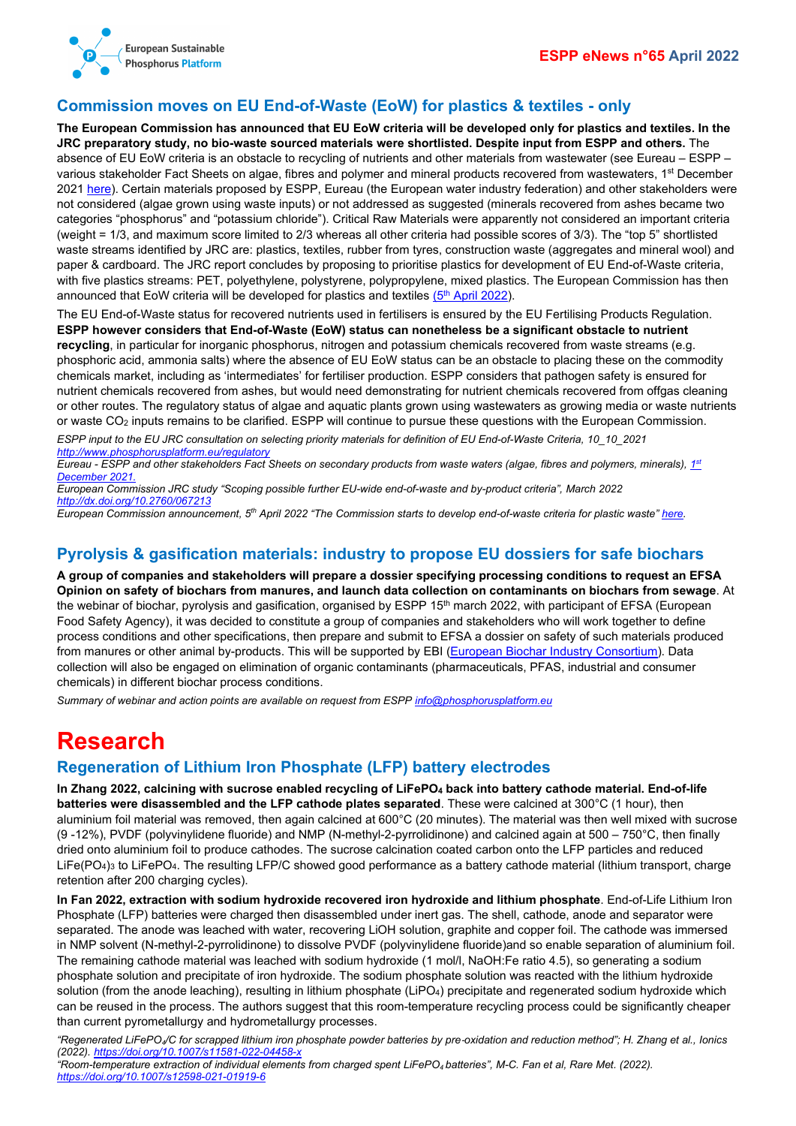



## <span id="page-4-0"></span>**Commission moves on EU End-of-Waste (EoW) for plastics & textiles - only**

**The European Commission has announced that EU EoW criteria will be developed only for plastics and textiles. In the JRC preparatory study, no bio-waste sourced materials were shortlisted. Despite input from ESPP and others.** The absence of EU EoW criteria is an obstacle to recycling of nutrients and other materials from wastewater (see Eureau – ESPP – various stakeholder Fact Sheets on algae, fibres and polymer and mineral products recovered from wastewaters, 1st December 2021 [here\)](https://www.eureau.org/resources/news/606-valuing-our-recyclable-materials). Certain materials proposed by ESPP, Eureau (the European water industry federation) and other stakeholders were not considered (algae grown using waste inputs) or not addressed as suggested (minerals recovered from ashes became two categories "phosphorus" and "potassium chloride"). Critical Raw Materials were apparently not considered an important criteria (weight = 1/3, and maximum score limited to 2/3 whereas all other criteria had possible scores of 3/3). The "top 5" shortlisted waste streams identified by JRC are: plastics, textiles, rubber from tyres, construction waste (aggregates and mineral wool) and paper & cardboard. The JRC report concludes by proposing to prioritise plastics for development of EU End-of-Waste criteria, with five plastics streams: PET, polyethylene, polystyrene, polypropylene, mixed plastics. The European Commission has then announced that EoW criteria will be developed for plastics and textiles  $(5<sup>th</sup>$  [April 2022\)](https://ec.europa.eu/environment/news/commission-starts-develop-end-waste-criteria-plastic-waste-2022-04-05_en).

The EU End-of-Waste status for recovered nutrients used in fertilisers is ensured by the EU Fertilising Products Regulation. **ESPP however considers that End-of-Waste (EoW) status can nonetheless be a significant obstacle to nutrient recycling**, in particular for inorganic phosphorus, nitrogen and potassium chemicals recovered from waste streams (e.g. phosphoric acid, ammonia salts) where the absence of EU EoW status can be an obstacle to placing these on the commodity chemicals market, including as 'intermediates' for fertiliser production. ESPP considers that pathogen safety is ensured for nutrient chemicals recovered from ashes, but would need demonstrating for nutrient chemicals recovered from offgas cleaning or other routes. The regulatory status of algae and aquatic plants grown using wastewaters as growing media or waste nutrients or waste CO<sub>2</sub> inputs remains to be clarified. ESPP will continue to pursue these questions with the European Commission.

*ESPP input to the EU JRC consultation on selecting priority materials for definition of EU End-of-Waste Criteria, 10\_10\_2021 <http://www.phosphorusplatform.eu/regulatory>*

*Eureau - ESPP and other stakeholders Fact Sheets on secondary products from waste waters (algae, fibres and polymers, minerals)[, 1st](https://www.eureau.org/resources/news/606-valuing-our-recyclable-materials) [December 2021.](https://www.eureau.org/resources/news/606-valuing-our-recyclable-materials)*

*European Commission JRC study "Scoping possible further EU-wide end-of-waste and by-product criteria", March 2022 <http://dx.doi.org/10.2760/067213>*

*European Commission announcement, 5th April 2022 "The Commission starts to develop end-of-waste criteria for plastic waste" [here.](https://ec.europa.eu/environment/news/commission-starts-develop-end-waste-criteria-plastic-waste-2022-04-05_en)*

## <span id="page-4-1"></span>**Pyrolysis & gasification materials: industry to propose EU dossiers for safe biochars**

**A group of companies and stakeholders will prepare a dossier specifying processing conditions to request an EFSA Opinion on safety of biochars from manures, and launch data collection on contaminants on biochars from sewage**. At the webinar of biochar, pyrolysis and gasification, organised by ESPP 15<sup>th</sup> march 2022, with participant of EFSA (European Food Safety Agency), it was decided to constitute a group of companies and stakeholders who will work together to define process conditions and other specifications, then prepare and submit to EFSA a dossier on safety of such materials produced from manures or other animal by-products. This will be supported by EBI [\(European Biochar Industry Consortium\)](https://www.biochar-industry.com/). Data collection will also be engaged on elimination of organic contaminants (pharmaceuticals, PFAS, industrial and consumer chemicals) in different biochar process conditions.

*Summary of webinar and action points are available on request from ESP[P info@phosphorusplatform.eu](mailto:info@phosphorusplatform.eu)*

# <span id="page-4-2"></span>**Research**

## <span id="page-4-3"></span>**Regeneration of Lithium Iron Phosphate (LFP) battery electrodes**

**In Zhang 2022, calcining with sucrose enabled recycling of LiFePO4 back into battery cathode material. End-of-life batteries were disassembled and the LFP cathode plates separated**. These were calcined at 300°C (1 hour), then aluminium foil material was removed, then again calcined at 600°C (20 minutes). The material was then well mixed with sucrose (9 -12%), PVDF (polyvinylidene fluoride) and NMP (N-methyl-2-pyrrolidinone) and calcined again at 500 – 750 $^{\circ}$ C, then finally dried onto aluminium foil to produce cathodes. The sucrose calcination coated carbon onto the LFP particles and reduced LiFe(PO4)3 to LiFePO4. The resulting LFP/C showed good performance as a battery cathode material (lithium transport, charge retention after 200 charging cycles).

**In Fan 2022, extraction with sodium hydroxide recovered iron hydroxide and lithium phosphate**. End-of-Life Lithium Iron Phosphate (LFP) batteries were charged then disassembled under inert gas. The shell, cathode, anode and separator were separated. The anode was leached with water, recovering LiOH solution, graphite and copper foil. The cathode was immersed in NMP solvent (N-methyl-2-pyrrolidinone) to dissolve PVDF (polyvinylidene fluoride)and so enable separation of aluminium foil. The remaining cathode material was leached with sodium hydroxide (1 mol/l, NaOH:Fe ratio 4.5), so generating a sodium phosphate solution and precipitate of iron hydroxide. The sodium phosphate solution was reacted with the lithium hydroxide solution (from the anode leaching), resulting in lithium phosphate (LiPO4) precipitate and regenerated sodium hydroxide which can be reused in the process. The authors suggest that this room-temperature recycling process could be significantly cheaper than current pyrometallurgy and hydrometallurgy processes.

*"Regenerated LiFePO4/C for scrapped lithium iron phosphate powder batteries by pre*‑*oxidation and reduction method"; H. Zhang et al., Ionics (2022).<https://doi.org/10.1007/s11581-022-04458-x>*

*"Room-temperature extraction of individual elements from charged spent LiFePO4 batteries", M-C. Fan et al, Rare Met. (2022). <https://doi.org/10.1007/s12598-021-01919-6>*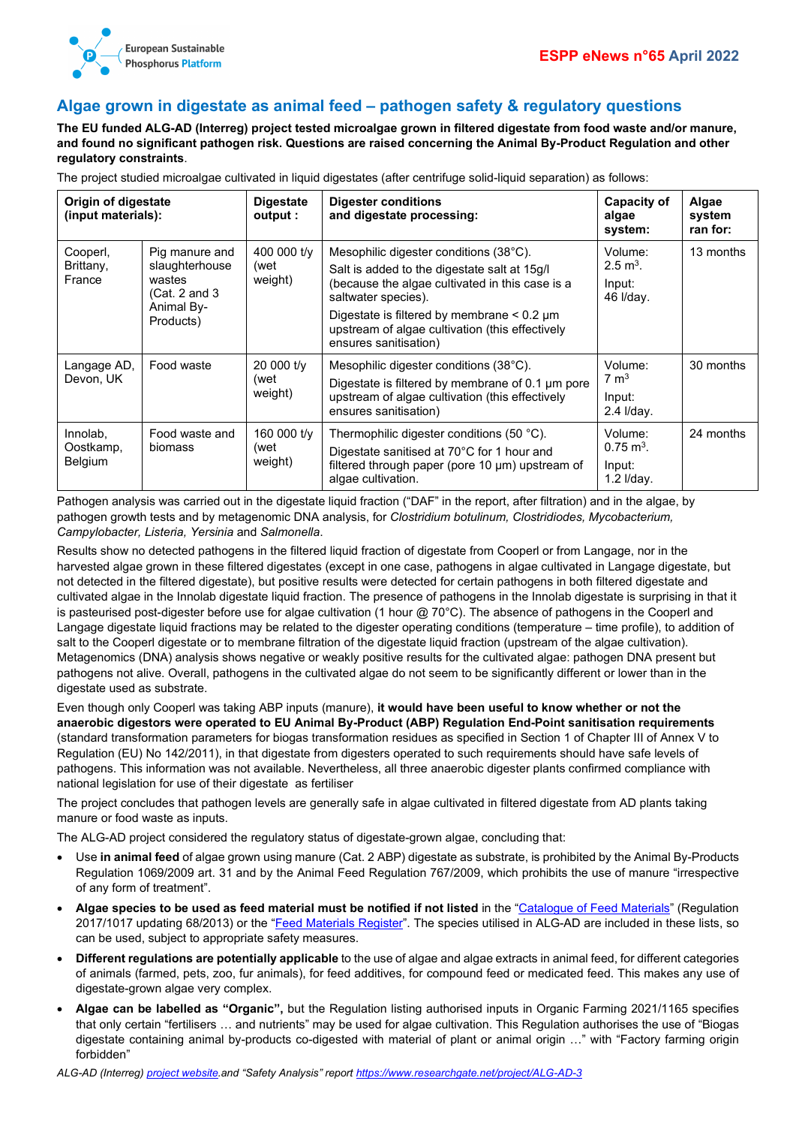

## <span id="page-5-0"></span>**Algae grown in digestate as animal feed – pathogen safety & regulatory questions**

**The EU funded ALG-AD (Interreg) project tested microalgae grown in filtered digestate from food waste and/or manure, and found no significant pathogen risk. Questions are raised concerning the Animal By-Product Regulation and other regulatory constraints**.

The project studied microalgae cultivated in liquid digestates (after centrifuge solid-liquid separation) as follows:

| Origin of digestate<br>(input materials): |                                                                                        | <b>Digestate</b><br>output :   | <b>Digester conditions</b><br>and digestate processing:                                                                                                                                                                                                                                         | Capacity of<br>algae<br>system:                           | Algae<br>system<br>ran for: |
|-------------------------------------------|----------------------------------------------------------------------------------------|--------------------------------|-------------------------------------------------------------------------------------------------------------------------------------------------------------------------------------------------------------------------------------------------------------------------------------------------|-----------------------------------------------------------|-----------------------------|
| Cooperl,<br>Brittany,<br>France           | Pig manure and<br>slaughterhouse<br>wastes<br>(Cat. 2 and 3<br>Animal By-<br>Products) | 400 000 t/y<br>(wet<br>weight) | Mesophilic digester conditions (38°C).<br>Salt is added to the digestate salt at 15g/l<br>(because the algae cultivated in this case is a<br>saltwater species).<br>Digestate is filtered by membrane $< 0.2 \mu m$<br>upstream of algae cultivation (this effectively<br>ensures sanitisation) | Volume:<br>$2.5 \text{ m}^3$ .<br>Input:<br>46 I/day.     | 13 months                   |
| Langage AD,<br>Devon, UK                  | Food waste                                                                             | 20 000 t/y<br>(wet<br>weight)  | Mesophilic digester conditions (38°C).<br>Digestate is filtered by membrane of 0.1 µm pore<br>upstream of algae cultivation (this effectively<br>ensures sanitisation)                                                                                                                          | Volume:<br>$7 \text{ m}^3$<br>Input:<br>2.4 I/day.        | 30 months                   |
| Innolab,<br>Oostkamp,<br><b>Belgium</b>   | Food waste and<br>biomass                                                              | 160 000 t/y<br>(wet<br>weight) | Thermophilic digester conditions (50 $^{\circ}$ C).<br>Digestate sanitised at 70°C for 1 hour and<br>filtered through paper (pore 10 µm) upstream of<br>algae cultivation.                                                                                                                      | Volume:<br>$0.75 \text{ m}^3$ .<br>Input:<br>$1.2$ I/day. | 24 months                   |

Pathogen analysis was carried out in the digestate liquid fraction ("DAF" in the report, after filtration) and in the algae, by pathogen growth tests and by metagenomic DNA analysis, for *Clostridium botulinum, Clostridiodes, Mycobacterium, Campylobacter, Listeria, Yersinia* and *Salmonella*.

Results show no detected pathogens in the filtered liquid fraction of digestate from Cooperl or from Langage, nor in the harvested algae grown in these filtered digestates (except in one case, pathogens in algae cultivated in Langage digestate, but not detected in the filtered digestate), but positive results were detected for certain pathogens in both filtered digestate and cultivated algae in the Innolab digestate liquid fraction. The presence of pathogens in the Innolab digestate is surprising in that it is pasteurised post-digester before use for algae cultivation (1 hour  $@70^{\circ}$ C). The absence of pathogens in the Cooperl and Langage digestate liquid fractions may be related to the digester operating conditions (temperature – time profile), to addition of salt to the Cooperl digestate or to membrane filtration of the digestate liquid fraction (upstream of the algae cultivation). Metagenomics (DNA) analysis shows negative or weakly positive results for the cultivated algae: pathogen DNA present but pathogens not alive. Overall, pathogens in the cultivated algae do not seem to be significantly different or lower than in the digestate used as substrate.

Even though only Cooperl was taking ABP inputs (manure), **it would have been useful to know whether or not the anaerobic digestors were operated to EU Animal By-Product (ABP) Regulation End-Point sanitisation requirements** (standard transformation parameters for biogas transformation residues as specified in Section 1 of Chapter III of Annex V to Regulation (EU) No 142/2011), in that digestate from digesters operated to such requirements should have safe levels of pathogens. This information was not available. Nevertheless, all three anaerobic digester plants confirmed compliance with national legislation for use of their digestate as fertiliser

The project concludes that pathogen levels are generally safe in algae cultivated in filtered digestate from AD plants taking manure or food waste as inputs.

The ALG-AD project considered the regulatory status of digestate-grown algae, concluding that:

- Use **in animal feed** of algae grown using manure (Cat. 2 ABP) digestate as substrate, is prohibited by the Animal By-Products Regulation 1069/2009 art. 31 and by the Animal Feed Regulation 767/2009, which prohibits the use of manure "irrespective of any form of treatment".
- **Algae species to be used as feed material must be notified if not listed** in the ["Catalogue of Feed Materials"](https://eur-lex.europa.eu/legal-content/en/ALL/?uri=CELEX%3A32017R1017) (Regulation 2017/1017 updating 68/2013) or the ["Feed Materials Register"](https://feedmaterialsregister.eu/). The species utilised in ALG-AD are included in these lists, so can be used, subject to appropriate safety measures.
- **Different regulations are potentially applicable** to the use of algae and algae extracts in animal feed, for different categories of animals (farmed, pets, zoo, fur animals), for feed additives, for compound feed or medicated feed. This makes any use of digestate-grown algae very complex.
- **Algae can be labelled as "Organic",** but the Regulation listing authorised inputs in Organic Farming 2021/1165 specifies that only certain "fertilisers … and nutrients" may be used for algae cultivation. This Regulation authorises the use of "Biogas digestate containing animal by-products co-digested with material of plant or animal origin …" with "Factory farming origin forbidden"

*ALG-AD (Interreg[\) project website.](https://www.nweurope.eu/projects/project-search/alg-ad-creating-value-from-waste-nutrients-by-integrating-algal-and-anaerobic-digestion-technology/)and "Safety Analysis" repor[t https://www.researchgate.net/project/ALG-AD-3](https://www.researchgate.net/project/ALG-AD-3)*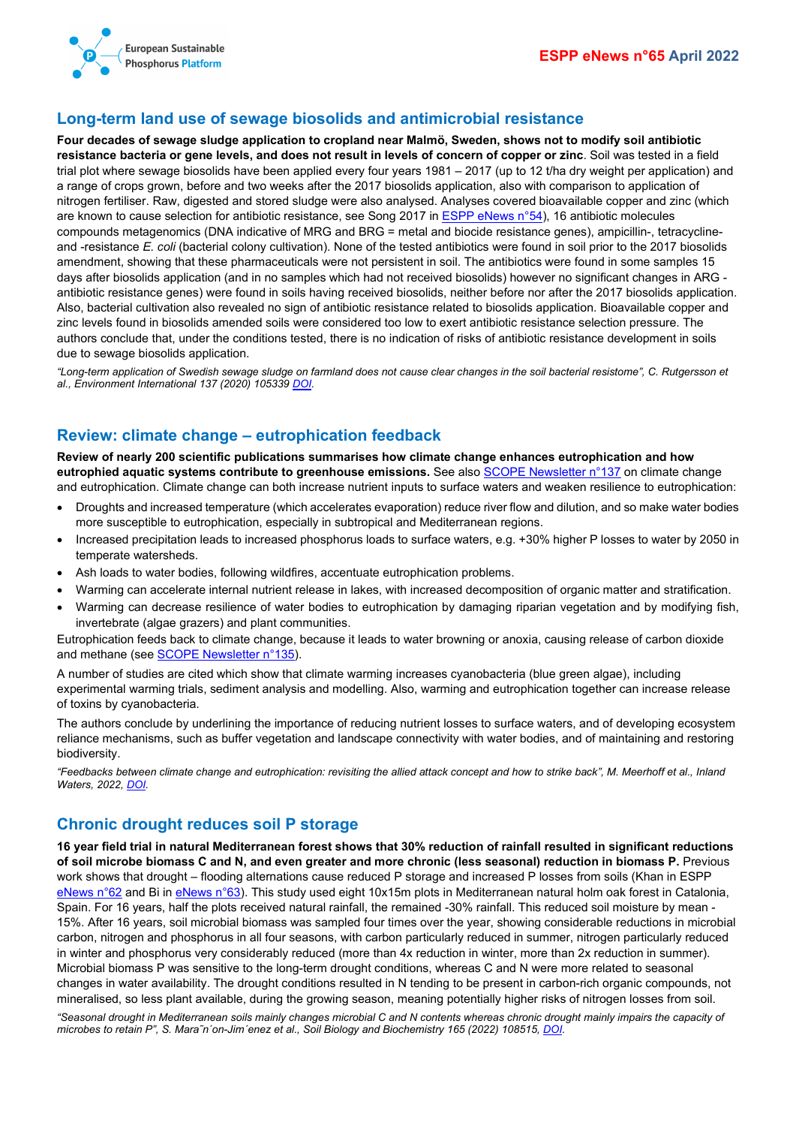

### <span id="page-6-0"></span>**Long-term land use of sewage biosolids and antimicrobial resistance**

**Four decades of sewage sludge application to cropland near Malmö, Sweden, shows not to modify soil antibiotic resistance bacteria or gene levels, and does not result in levels of concern of copper or zinc**. Soil was tested in a field trial plot where sewage biosolids have been applied every four years 1981 – 2017 (up to 12 t/ha dry weight per application) and a range of crops grown, before and two weeks after the 2017 biosolids application, also with comparison to application of nitrogen fertiliser. Raw, digested and stored sludge were also analysed. Analyses covered bioavailable copper and zinc (which are known to cause selection for antibiotic resistance, see Song 2017 i[n ESPP eNews n°54\)](http://www.phosphorusplatform.eu/eNews054), 16 antibiotic molecules compounds metagenomics (DNA indicative of MRG and BRG = metal and biocide resistance genes), ampicillin-, tetracyclineand -resistance *E. coli* (bacterial colony cultivation). None of the tested antibiotics were found in soil prior to the 2017 biosolids amendment, showing that these pharmaceuticals were not persistent in soil. The antibiotics were found in some samples 15 days after biosolids application (and in no samples which had not received biosolids) however no significant changes in ARG antibiotic resistance genes) were found in soils having received biosolids, neither before nor after the 2017 biosolids application. Also, bacterial cultivation also revealed no sign of antibiotic resistance related to biosolids application. Bioavailable copper and zinc levels found in biosolids amended soils were considered too low to exert antibiotic resistance selection pressure. The authors conclude that, under the conditions tested, there is no indication of risks of antibiotic resistance development in soils due to sewage biosolids application.

"Long-term application of Swedish sewage sludge on farmland does not cause clear changes in the soil bacterial resistome", C. Rutgersson et *al., Environment International 137 (2020) 105339 [DOI.](https://doi.org/10.1016/j.envint.2019.105339)*

### <span id="page-6-1"></span>**Review: climate change – eutrophication feedback**

**Review of nearly 200 scientific publications summarises how climate change enhances eutrophication and how eutrophied aquatic systems contribute to greenhouse emissions.** See als[o SCOPE Newsletter n°137](http://www.phosphorusplatform.eu/Scope137) on climate change and eutrophication. Climate change can both increase nutrient inputs to surface waters and weaken resilience to eutrophication:

- Droughts and increased temperature (which accelerates evaporation) reduce river flow and dilution, and so make water bodies more susceptible to eutrophication, especially in subtropical and Mediterranean regions.
- Increased precipitation leads to increased phosphorus loads to surface waters, e.g. +30% higher P losses to water by 2050 in temperate watersheds.
- Ash loads to water bodies, following wildfires, accentuate eutrophication problems.
- Warming can accelerate internal nutrient release in lakes, with increased decomposition of organic matter and stratification.
- Warming can decrease resilience of water bodies to eutrophication by damaging riparian vegetation and by modifying fish, invertebrate (algae grazers) and plant communities.

Eutrophication feeds back to climate change, because it leads to water browning or anoxia, causing release of carbon dioxide and methane (se[e SCOPE Newsletter n°135\)](http://www.phosphorusplatform.eu/Scope135).

A number of studies are cited which show that climate warming increases cyanobacteria (blue green algae), including experimental warming trials, sediment analysis and modelling. Also, warming and eutrophication together can increase release of toxins by cyanobacteria.

The authors conclude by underlining the importance of reducing nutrient losses to surface waters, and of developing ecosystem reliance mechanisms, such as buffer vegetation and landscape connectivity with water bodies, and of maintaining and restoring biodiversity.

*"Feedbacks between climate change and eutrophication: revisiting the allied attack concept and how to strike back", M. Meerhoff et al., Inland Waters, 2022, [DOI.](https://doi.org/10.1080/20442041.2022.2029317)*

### <span id="page-6-2"></span>**Chronic drought reduces soil P storage**

**16 year field trial in natural Mediterranean forest shows that 30% reduction of rainfall resulted in significant reductions of soil microbe biomass C and N, and even greater and more chronic (less seasonal) reduction in biomass P.** Previous work shows that drought – flooding alternations cause reduced P storage and increased P losses from soils (Khan in ESPP [eNews n°62](http://www.phosphorusplatform.eu/eNews062) and Bi in [eNews n°63\)](http://www.phosphorusplatform.eu/eNews063). This study used eight 10x15m plots in Mediterranean natural holm oak forest in Catalonia, Spain. For 16 years, half the plots received natural rainfall, the remained -30% rainfall. This reduced soil moisture by mean - 15%. After 16 years, soil microbial biomass was sampled four times over the year, showing considerable reductions in microbial carbon, nitrogen and phosphorus in all four seasons, with carbon particularly reduced in summer, nitrogen particularly reduced in winter and phosphorus very considerably reduced (more than 4x reduction in winter, more than 2x reduction in summer). Microbial biomass P was sensitive to the long-term drought conditions, whereas C and N were more related to seasonal changes in water availability. The drought conditions resulted in N tending to be present in carbon-rich organic compounds, not mineralised, so less plant available, during the growing season, meaning potentially higher risks of nitrogen losses from soil.

*"Seasonal drought in Mediterranean soils mainly changes microbial C and N contents whereas chronic drought mainly impairs the capacity of microbes to retain P", S. Mara˜n´on-Jim´enez et al., Soil Biology and Biochemistry 165 (2022) 108515[, DOI.](https://doi.org/10.1016/j.soilbio.2021.108515)*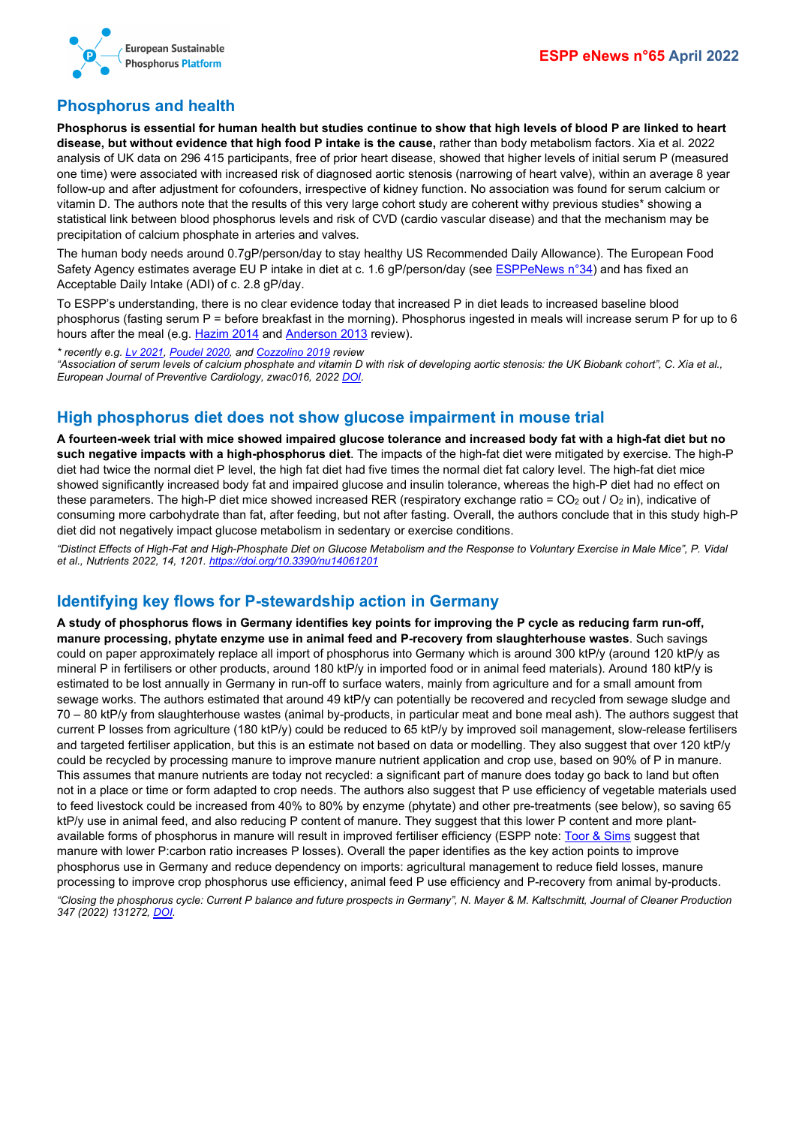

## <span id="page-7-0"></span>**Phosphorus and health**

**Phosphorus is essential for human health but studies continue to show that high levels of blood P are linked to heart disease, but without evidence that high food P intake is the cause,** rather than body metabolism factors. Xia et al. 2022 analysis of UK data on 296 415 participants, free of prior heart disease, showed that higher levels of initial serum P (measured one time) were associated with increased risk of diagnosed aortic stenosis (narrowing of heart valve), within an average 8 year follow-up and after adjustment for cofounders, irrespective of kidney function. No association was found for serum calcium or vitamin D. The authors note that the results of this very large cohort study are coherent withy previous studies\* showing a statistical link between blood phosphorus levels and risk of CVD (cardio vascular disease) and that the mechanism may be precipitation of calcium phosphate in arteries and valves.

The human body needs around 0.7gP/person/day to stay healthy US Recommended Daily Allowance). The European Food Safety Agency estimates average EU P intake in diet at c. 1.6 gP/person/day (se[e ESPPeNews n°34\)](http://www.phosphorusplatform.eu/eNews034) and has fixed an Acceptable Daily Intake (ADI) of c. 2.8 gP/day.

To ESPP's understanding, there is no clear evidence today that increased P in diet leads to increased baseline blood phosphorus (fasting serum P = before breakfast in the morning). Phosphorus ingested in meals will increase serum P for up to 6 hours after the meal (e.g[. Hazim 2014](https://doi.org/10.1186/1476-511X-13-109) an[d Anderson 2013](https://doi.org/10.1111/nyas.12208) review).

*\* recently e.g. Lv [2021,](https://doi.org/10.21203/rs.3.rs-150057/v1) [Poudel 2020,](https://doi.org/10.1016/j.numecd.2020.01.003) an[d Cozzolino 2019](https://doi.org/10.3390/toxins11040213) review*

*"Association of serum levels of calcium phosphate and vitamin D with risk of developing aortic stenosis: the UK Biobank cohort", C. Xia et al., European Journal of Preventive Cardiology, zwac016, 2022 [DOI.](https://doi.org/10.1093/eurjpc/zwac016)*

## <span id="page-7-1"></span>**High phosphorus diet does not show glucose impairment in mouse trial**

**A fourteen-week trial with mice showed impaired glucose tolerance and increased body fat with a high-fat diet but no such negative impacts with a high-phosphorus diet**. The impacts of the high-fat diet were mitigated by exercise. The high-P diet had twice the normal diet P level, the high fat diet had five times the normal diet fat calory level. The high-fat diet mice showed significantly increased body fat and impaired glucose and insulin tolerance, whereas the high-P diet had no effect on these parameters. The high-P diet mice showed increased RER (respiratory exchange ratio =  $CO_2$  out /  $O_2$  in), indicative of consuming more carbohydrate than fat, after feeding, but not after fasting. Overall, the authors conclude that in this study high-P diet did not negatively impact glucose metabolism in sedentary or exercise conditions.

*"Distinct Effects of High-Fat and High-Phosphate Diet on Glucose Metabolism and the Response to Voluntary Exercise in Male Mice", P. Vidal et al., Nutrients 2022, 14, 1201[. https://doi.org/10.3390/nu14061201](https://doi.org/10.3390/nu14061201)*

## <span id="page-7-2"></span>**Identifying key flows for P-stewardship action in Germany**

**A study of phosphorus flows in Germany identifies key points for improving the P cycle as reducing farm run-off, manure processing, phytate enzyme use in animal feed and P-recovery from slaughterhouse wastes**. Such savings could on paper approximately replace all import of phosphorus into Germany which is around 300 ktP/y (around 120 ktP/y as mineral P in fertilisers or other products, around 180 ktP/y in imported food or in animal feed materials). Around 180 ktP/y is estimated to be lost annually in Germany in run-off to surface waters, mainly from agriculture and for a small amount from sewage works. The authors estimated that around 49 ktP/y can potentially be recovered and recycled from sewage sludge and 70 – 80 ktP/y from slaughterhouse wastes (animal by-products, in particular meat and bone meal ash). The authors suggest that current P losses from agriculture (180 ktP/y) could be reduced to 65 ktP/y by improved soil management, slow-release fertilisers and targeted fertiliser application, but this is an estimate not based on data or modelling. They also suggest that over 120 ktP/y could be recycled by processing manure to improve manure nutrient application and crop use, based on 90% of P in manure. This assumes that manure nutrients are today not recycled: a significant part of manure does today go back to land but often not in a place or time or form adapted to crop needs. The authors also suggest that P use efficiency of vegetable materials used to feed livestock could be increased from 40% to 80% by enzyme (phytate) and other pre-treatments (see below), so saving 65 ktP/y use in animal feed, and also reducing P content of manure. They suggest that this lower P content and more plantavailable forms of phosphorus in manure will result in improved fertiliser efficiency (ESPP note: [Toor & Sims](https://doi.org/10.2136/vzj2015.08.0108) suggest that manure with lower P:carbon ratio increases P losses). Overall the paper identifies as the key action points to improve phosphorus use in Germany and reduce dependency on imports: agricultural management to reduce field losses, manure processing to improve crop phosphorus use efficiency, animal feed P use efficiency and P-recovery from animal by-products. *"Closing the phosphorus cycle: Current P balance and future prospects in Germany", N. Mayer & M. Kaltschmitt, Journal of Cleaner Production 347 (2022) 131272[, DOI.](https://doi.org/10.1016/j.jclepro.2022.131272)*